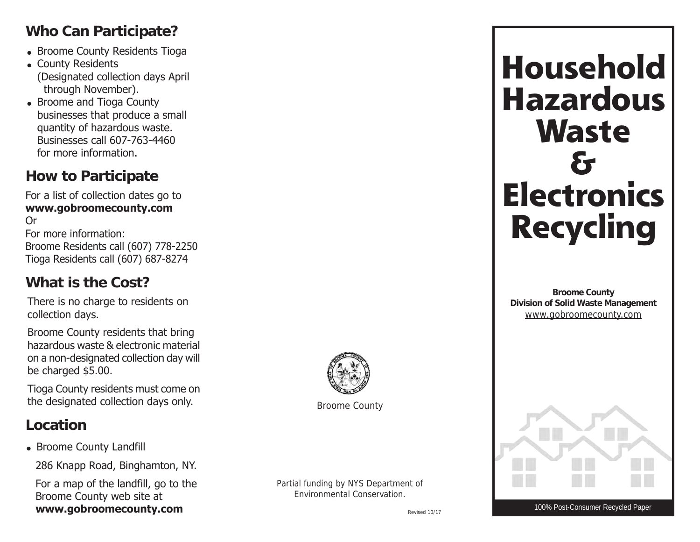## **Who Can Participate?**

- $\bullet\,$  Broome County Residents Tioga
- $\bullet\,$  County Residents (Designated collection days April through November).
- $\bullet\,$  Broome and Tioga County businesses that produce a small quantity of hazardous waste. Businesses call 607-763-4460 for more information.

### **How to Participate**

For a list of collection dates go to **www.gobroomecounty.com** Or For more information: Broome Residents call (607) 778-2250

Tioga Residents call (607) 687-8274

**What is the Cost?**

There is no charge to residents on collection days.

Broome County residents that bring hazardous waste & electronic material on a non-designated collection day will be charged \$5.00.

Tioga County residents must come on the designated collection days only.

#### **Location**

• Broome County Landfill

286 Knapp Road, Binghamton, NY.

For a map of the landfill, go to the Broome County web site at **www.gobroomecounty.com**

Broome County

Partial funding by NYS Department of Environmental Conservation.

Revised 10/17

# **Household Hazardous Waste & Electronics Recycling**

**Broome County Division of Solid Waste Management** www.gobroomecounty.com